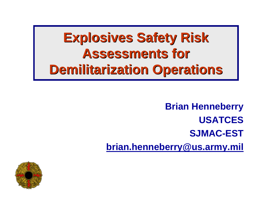# **Explosives Safety Risk Assessments for Demilitarization Operations Demilitarization Operations**

**Brian Henneberry USATCES SJMAC-ESTbrian.henneberry@us.army.mil**

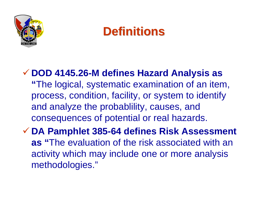

### **Definitions Definitions**

#### 9 **DOD 4145.26-M defines Hazard Analysis as "**The logical, systematic examination of an item, process, condition, facility, or system to identify and analyze the probablility, causes, and consequences of potential or real hazards.

9 **DA Pamphlet 385-64 defines Risk Assessment as "**The evaluation of the risk associated with an activity which may include one or more analysis methodologies."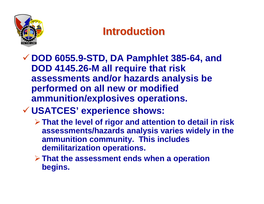

### **Introduction Introduction**

- 9 **DOD 6055.9-STD, DA Pamphlet 385-64, and DOD 4145.26-M all require that risk assessments and/or hazards analysis be performed on all new or modified ammunition/explosives operations.**
- 9 **USATCES' experience shows:**
	- ¾**That the level of rigor and attention to detail in risk assessments/hazards analysis varies widely in the ammunition community. This includes demilitarization operations.**
	- ¾**That the assessment ends when a operation begins.**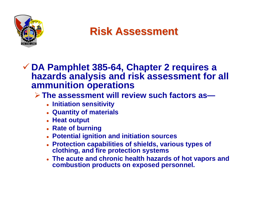

**Risk Assessment Risk Assessment**

#### 9 **DA Pamphlet 385-64, Chapter 2 requires a hazards analysis and risk assessment for all ammunition operations**

#### ¾**The assessment will review such factors as—**

- z **Initiation sensitivity**
- z **Quantity of materials**
- z **Heat output**
- z **Rate of burning**
- z **Potential ignition and initiation sources**
- **Protection capabilities of shields, various types of clothing, and fire protection systems**
- z **The acute and chronic health hazards of hot vapors and combustion products on exposed personnel.**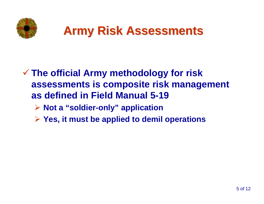

## **Army Risk Assessments Army Risk Assessments**

#### 9 **The official Army methodology for risk assessments is composite risk management as defined in Field Manual 5-19**

- ¾ **Not a "soldier-only" application**
- ¾ **Yes, it must be applied to demil operations**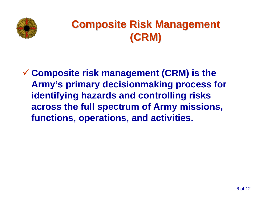

### **Composite Risk Management (CRM)**

9 **Composite risk management (CRM) is the Army's primary decisionmaking process for identifying hazards and controlling risks across the full spectrum of Army missions, functions, operations, and activities.**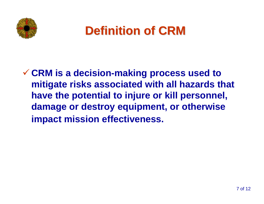

## **Definition of CRM Definition of CRM**

9 **CRM is a decision-making process used to mitigate risks associated with all hazards that have the potential to injure or kill personnel, damage or destroy equipment, or otherwise impact mission effectiveness.**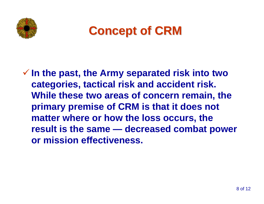



9 **In the past, the Army separated risk into two categories, tactical risk and accident risk. While these two areas of concern remain, the primary premise of CRM is that it does not matter where or how the loss occurs, the result is the same — decreased combat power or mission effectiveness.**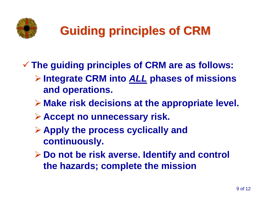

# **Guiding principles of CRM Guiding principles of CRM**

- 9 **The guiding principles of CRM are as follows:**
	- ¾ **Integrate CRM into** *ALL* **phases of missions and operations.**
	- ¾ **Make risk decisions at the appropriate level.**
	- ¾ **Accept no unnecessary risk.**
	- ¾ **Apply the process cyclically and continuously.**
	- ¾ **Do not be risk averse. Identify and control the hazards; complete the mission**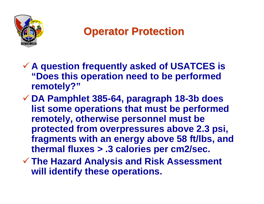

### **Operator Protection Operator Protection**

- 9 **A question frequently asked of USATCES is "Does this operation need to be performed remotely?"**
- 9 **DA Pamphlet 385-64, paragraph 18-3b does list some operations that must be performed remotely, otherwise personnel must be protected from overpressures above 2.3 psi, fragments with an energy above 58 ft/lbs, and thermal fluxes > .3 calories per cm2/sec.**
- 9 **The Hazard Analysis and Risk Assessment will identify these operations.**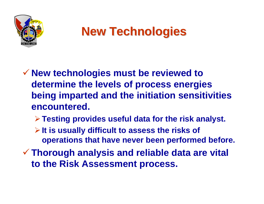

# **New Technologies New Technologies**

- 9 **New technologies must be reviewed to determine the levels of process energies being imparted and the initiation sensitivities encountered.** 
	- ¾**Testing provides useful data for the risk analyst.**
	- ¾**It is usually difficult to assess the risks of operations that have never been performed before.**
- 9 **Thorough analysis and reliable data are vital to the Risk Assessment process.**